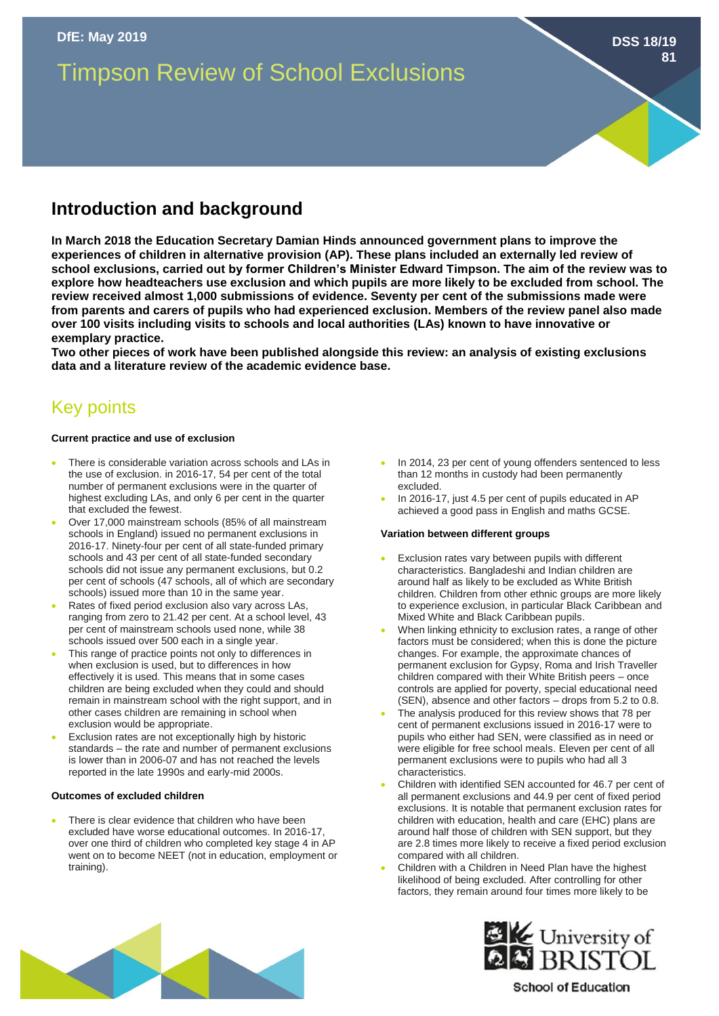# Timpson Review of School Exclusions

## **Introduction and background**

**In March 2018 the Education Secretary Damian Hinds announced government plans to improve the experiences of children in alternative provision (AP). These plans included an externally led review of school exclusions, carried out by former Children's Minister Edward Timpson. The aim of the review was to explore how headteachers use exclusion and which pupils are more likely to be excluded from school. The review received almost 1,000 submissions of evidence. Seventy per cent of the submissions made were from parents and carers of pupils who had experienced exclusion. Members of the review panel also made over 100 visits including visits to schools and local authorities (LAs) known to have innovative or exemplary practice.**

**Two other pieces of work have been published alongside this review: an analysis of existing exclusions data and a literature review of the academic evidence base.** 

### Key points

#### **Current practice and use of exclusion**

- There is considerable variation across schools and LAs in the use of exclusion. in 2016-17, 54 per cent of the total number of permanent exclusions were in the quarter of highest excluding LAs, and only 6 per cent in the quarter that excluded the fewest.
- Over 17,000 mainstream schools (85% of all mainstream schools in England) issued no permanent exclusions in 2016-17. Ninety-four per cent of all state-funded primary schools and 43 per cent of all state-funded secondary schools did not issue any permanent exclusions, but 0.2 per cent of schools (47 schools, all of which are secondary schools) issued more than 10 in the same year.
- Rates of fixed period exclusion also vary across LAs, ranging from zero to 21.42 per cent. At a school level, 43 per cent of mainstream schools used none, while 38 schools issued over 500 each in a single year.
- This range of practice points not only to differences in when exclusion is used, but to differences in how effectively it is used. This means that in some cases children are being excluded when they could and should remain in mainstream school with the right support, and in other cases children are remaining in school when exclusion would be appropriate.
- Exclusion rates are not exceptionally high by historic standards – the rate and number of permanent exclusions is lower than in 2006-07 and has not reached the levels reported in the late 1990s and early-mid 2000s.

#### **Outcomes of excluded children**

There is clear evidence that children who have been excluded have worse educational outcomes. In 2016-17, over one third of children who completed key stage 4 in AP went on to become NEET (not in education, employment or training).

In 2014, 23 per cent of young offenders sentenced to less than 12 months in custody had been permanently excluded.

**DSS 18/19**

**81**

• In 2016-17, just 4.5 per cent of pupils educated in AP achieved a good pass in English and maths GCSE.

#### **Variation between different groups**

- Exclusion rates vary between pupils with different characteristics. Bangladeshi and Indian children are around half as likely to be excluded as White British children. Children from other ethnic groups are more likely to experience exclusion, in particular Black Caribbean and Mixed White and Black Caribbean pupils.
- When linking ethnicity to exclusion rates, a range of other factors must be considered; when this is done the picture changes. For example, the approximate chances of permanent exclusion for Gypsy, Roma and Irish Traveller children compared with their White British peers – once controls are applied for poverty, special educational need (SEN), absence and other factors – drops from 5.2 to 0.8.
- The analysis produced for this review shows that 78 per cent of permanent exclusions issued in 2016-17 were to pupils who either had SEN, were classified as in need or were eligible for free school meals. Eleven per cent of all permanent exclusions were to pupils who had all 3 characteristics.
- Children with identified SEN accounted for 46.7 per cent of all permanent exclusions and 44.9 per cent of fixed period exclusions. It is notable that permanent exclusion rates for children with education, health and care (EHC) plans are around half those of children with SEN support, but they are 2.8 times more likely to receive a fixed period exclusion compared with all children.
- Children with a Children in Need Plan have the highest likelihood of being excluded. After controlling for other factors, they remain around four times more likely to be





### **School of Education**